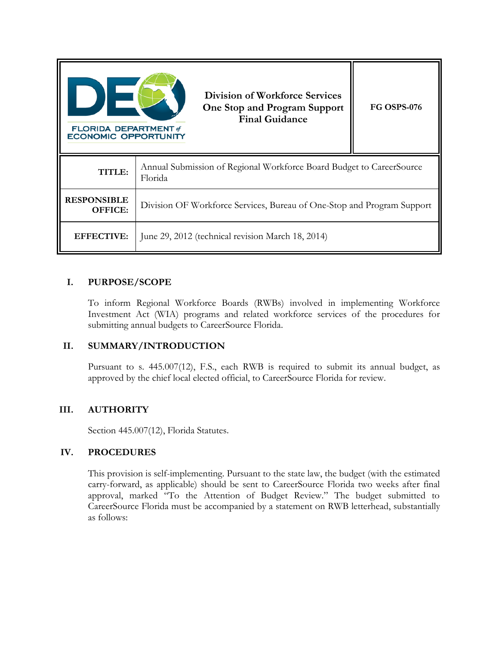| <b>FLORIDA DEPARTMENT</b> of<br><b>ECONOMIC OPPORTUNITY</b> | <b>Division of Workforce Services</b><br>One Stop and Program Support<br><b>Final Guidance</b> | <b>FG OSPS-076</b> |
|-------------------------------------------------------------|------------------------------------------------------------------------------------------------|--------------------|
| TITLE:                                                      | Annual Submission of Regional Workforce Board Budget to CareerSource<br>Florida                |                    |
| <b>RESPONSIBLE</b><br>OFFICE:                               | Division OF Workforce Services, Bureau of One-Stop and Program Support                         |                    |
| <b>EFFECTIVE:</b>                                           | June 29, 2012 (technical revision March 18, 2014)                                              |                    |

## **I. PURPOSE/SCOPE**

To inform Regional Workforce Boards (RWBs) involved in implementing Workforce Investment Act (WIA) programs and related workforce services of the procedures for submitting annual budgets to CareerSource Florida.

## **II. SUMMARY/INTRODUCTION**

Pursuant to s. 445.007(12), F.S., each RWB is required to submit its annual budget, as approved by the chief local elected official, to CareerSource Florida for review.

## **III. AUTHORITY**

Section 445.007(12), Florida Statutes.

## **IV. PROCEDURES**

This provision is self-implementing. Pursuant to the state law, the budget (with the estimated carry-forward, as applicable) should be sent to CareerSource Florida two weeks after final approval, marked "To the Attention of Budget Review." The budget submitted to CareerSource Florida must be accompanied by a statement on RWB letterhead, substantially as follows: